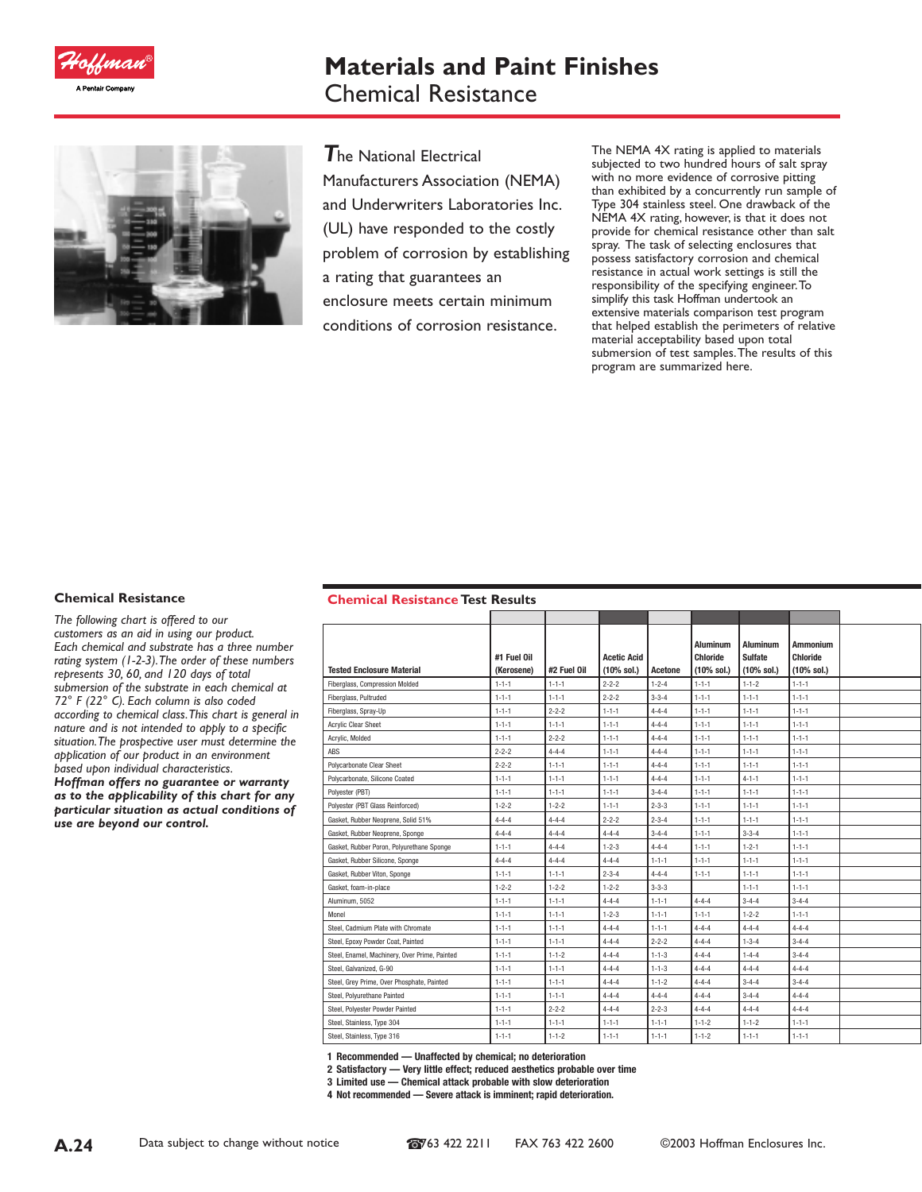

# **Materials and Paint Finishes** Chemical Resistance



*T*he National Electrical Manufacturers Association (NEMA) and Underwriters Laboratories Inc. (UL) have responded to the costly problem of corrosion by establishing a rating that guarantees an enclosure meets certain minimum conditions of corrosion resistance.

The NEMA 4X rating is applied to materials subjected to two hundred hours of salt spray with no more evidence of corrosive pitting than exhibited by a concurrently run sample of Type 304 stainless steel. One drawback of the NEMA 4X rating, however, is that it does not provide for chemical resistance other than salt spray. The task of selecting enclosures that possess satisfactory corrosion and chemical resistance in actual work settings is still the responsibility of the specifying engineer.To simplify this task Hoffman undertook an extensive materials comparison test program that helped establish the perimeters of relative material acceptability based upon total submersion of test samples.The results of this program are summarized here.

#### **Chemical Resistance**

*The following chart is offered to our customers as an aid in using our product. Each chemical and substrate has a three number rating system (1-2-3).The order of these numbers represents 30, 60, and 120 days of total submersion of the substrate in each chemical at 72° F (22° C). Each column is also coded according to chemical class.This chart is general in nature and is not intended to apply to a specific situation.The prospective user must determine the application of our product in an environment based upon individual characteristics.*

*Hoffman offers no guarantee or warranty as to the applicability of this chart for any particular situation as actual conditions of use are beyond our control.*

#### **Chemical Resistance Test Results**

| #1 Fuel Oil<br>(Kerosene) | #2 Fuel Oil | <b>Acetic Acid</b><br>$(10%$ sol.) | Acetone     | <b>Aluminum</b><br><b>Chloride</b><br>(10% sol.) | <b>Aluminum</b><br><b>Sulfate</b><br>$(10%$ sol.) | <b>Ammonium</b><br><b>Chloride</b><br>(10% sol.) |  |
|---------------------------|-------------|------------------------------------|-------------|--------------------------------------------------|---------------------------------------------------|--------------------------------------------------|--|
| $1 - 1 - 1$               | $1 - 1 - 1$ | $2 - 2 - 2$                        | $1 - 2 - 4$ | $1 - 1 - 1$                                      | $1 - 1 - 2$                                       | $1 - 1 - 1$                                      |  |
| $1 - 1 - 1$               | $1 - 1 - 1$ | $2 - 2 - 2$                        | $3 - 3 - 4$ | $1 - 1 - 1$                                      | $1 - 1 - 1$                                       | $1 - 1 - 1$                                      |  |
| $1 - 1 - 1$               | $2 - 2 - 2$ | $1 - 1 - 1$                        | $4 - 4 - 4$ | $1 - 1 - 1$                                      | $1 - 1 - 1$                                       | $1 - 1 - 1$                                      |  |
| $1 - 1 - 1$               | $1 - 1 - 1$ | $1 - 1 - 1$                        | $4 - 4 - 4$ | $1 - 1 - 1$                                      | $1 - 1 - 1$                                       | $1 - 1 - 1$                                      |  |
| $1 - 1 - 1$               | $2 - 2 - 2$ | $1 - 1 - 1$                        | $4 - 4 - 4$ | $1 - 1 - 1$                                      | $1 - 1 - 1$                                       | $1 - 1 - 1$                                      |  |
| $2 - 2 - 2$               | $4 - 4 - 4$ | $1 - 1 - 1$                        | $4 - 4 - 4$ | $1 - 1 - 1$                                      | $1 - 1 - 1$                                       | $1 - 1 - 1$                                      |  |
| $2 - 2 - 2$               | $1 - 1 - 1$ | $1 - 1 - 1$                        | $4 - 4 - 4$ | $1 - 1 - 1$                                      | $1 - 1 - 1$                                       | $1 - 1 - 1$                                      |  |
| $1 - 1 - 1$               | $1 - 1 - 1$ | $1 - 1 - 1$                        | $4 - 4 - 4$ | $1 - 1 - 1$                                      | $4 - 1 - 1$                                       | $1 - 1 - 1$                                      |  |
| $1 - 1 - 1$               | $1 - 1 - 1$ | $1 - 1 - 1$                        | $3 - 4 - 4$ | $1 - 1 - 1$                                      | $1 - 1 - 1$                                       | $1 - 1 - 1$                                      |  |
| $1 - 2 - 2$               | $1 - 2 - 2$ | $1 - 1 - 1$                        | $2 - 3 - 3$ | $1 - 1 - 1$                                      | $1 - 1 - 1$                                       | $1 - 1 - 1$                                      |  |
| $4 - 4 - 4$               | $4 - 4 - 4$ | $2 - 2 - 2$                        | $2 - 3 - 4$ | $1 - 1 - 1$                                      | $1 - 1 - 1$                                       | $1 - 1 - 1$                                      |  |
| $4 - 4 - 4$               | $4 - 4 - 4$ | $4 - 4 - 4$                        | $3 - 4 - 4$ | $1 - 1 - 1$                                      | $3 - 3 - 4$                                       | $1 - 1 - 1$                                      |  |
| $1 - 1 - 1$               | $4 - 4 - 4$ | $1 - 2 - 3$                        | $4 - 4 - 4$ | $1 - 1 - 1$                                      | $1 - 2 - 1$                                       | $1 - 1 - 1$                                      |  |
| $4 - 4 - 4$               | $4 - 4 - 4$ | $4 - 4 - 4$                        | $1 - 1 - 1$ | $1 - 1 - 1$                                      | $1 - 1 - 1$                                       | $1 - 1 - 1$                                      |  |
| $1 - 1 - 1$               | $1 - 1 - 1$ | $2 - 3 - 4$                        | $4 - 4 - 4$ | $1 - 1 - 1$                                      | $1 - 1 - 1$                                       | $1 - 1 - 1$                                      |  |
| $1 - 2 - 2$               | $1 - 2 - 2$ | $1 - 2 - 2$                        | $3 - 3 - 3$ |                                                  | $1 - 1 - 1$                                       | $1 - 1 - 1$                                      |  |
| $1 - 1 - 1$               | $1 - 1 - 1$ | $4 - 4 - 4$                        | $1 - 1 - 1$ | $4 - 4 - 4$                                      | $3 - 4 - 4$                                       | $3 - 4 - 4$                                      |  |
| $1 - 1 - 1$               | $1 - 1 - 1$ | $1 - 2 - 3$                        | $1 - 1 - 1$ | $1 - 1 - 1$                                      | $1 - 2 - 2$                                       | $1 - 1 - 1$                                      |  |
| $1 - 1 - 1$               | $1 - 1 - 1$ | $4 - 4 - 4$                        | $1 - 1 - 1$ | $4 - 4 - 4$                                      | $4 - 4 - 4$                                       | $4 - 4 - 4$                                      |  |
| $1 - 1 - 1$               | $1 - 1 - 1$ | $4 - 4 - 4$                        | $2 - 2 - 2$ | $4 - 4 - 4$                                      | $1 - 3 - 4$                                       | $3 - 4 - 4$                                      |  |
| $1 - 1 - 1$               | $1 - 1 - 2$ | $4 - 4 - 4$                        | $1 - 1 - 3$ | $4 - 4 - 4$                                      | $1 - 4 - 4$                                       | $3 - 4 - 4$                                      |  |
| $1 - 1 - 1$               | $1 - 1 - 1$ | $4 - 4 - 4$                        | $1 - 1 - 3$ | $4 - 4 - 4$                                      | $4 - 4 - 4$                                       | $4 - 4 - 4$                                      |  |
| $1 - 1 - 1$               | $1 - 1 - 1$ | $4 - 4 - 4$                        | $1 - 1 - 2$ | $4 - 4 - 4$                                      | $3 - 4 - 4$                                       | $3 - 4 - 4$                                      |  |
| $1 - 1 - 1$               | $1 - 1 - 1$ | $4 - 4 - 4$                        | $4 - 4 - 4$ | $4 - 4 - 4$                                      | $3 - 4 - 4$                                       | $4 - 4 - 4$                                      |  |
| $1 - 1 - 1$               | $2 - 2 - 2$ | $4 - 4 - 4$                        | $2 - 2 - 3$ | $4 - 4 - 4$                                      | $4 - 4 - 4$                                       | $4 - 4 - 4$                                      |  |
| $1 - 1 - 1$               | $1 - 1 - 1$ | $1 - 1 - 1$                        | $1 - 1 - 1$ | $1 - 1 - 2$                                      | $1 - 1 - 2$                                       | $1 - 1 - 1$                                      |  |
| $1 - 1 - 1$               | $1 - 1 - 2$ | $1 - 1 - 1$                        | $1 - 1 - 1$ | $1 - 1 - 2$                                      | $1 - 1 - 1$                                       | $1 - 1 - 1$                                      |  |
|                           |             |                                    |             |                                                  |                                                   |                                                  |  |

**1 Recommended — Unaffected by chemical; no deterioration**

**2 Satisfactory — Very little effect; reduced aesthetics probable over time**

**3 Limited use — Chemical attack probable with slow deterioration**

**4 Not recommended — Severe attack is imminent; rapid deterioration.**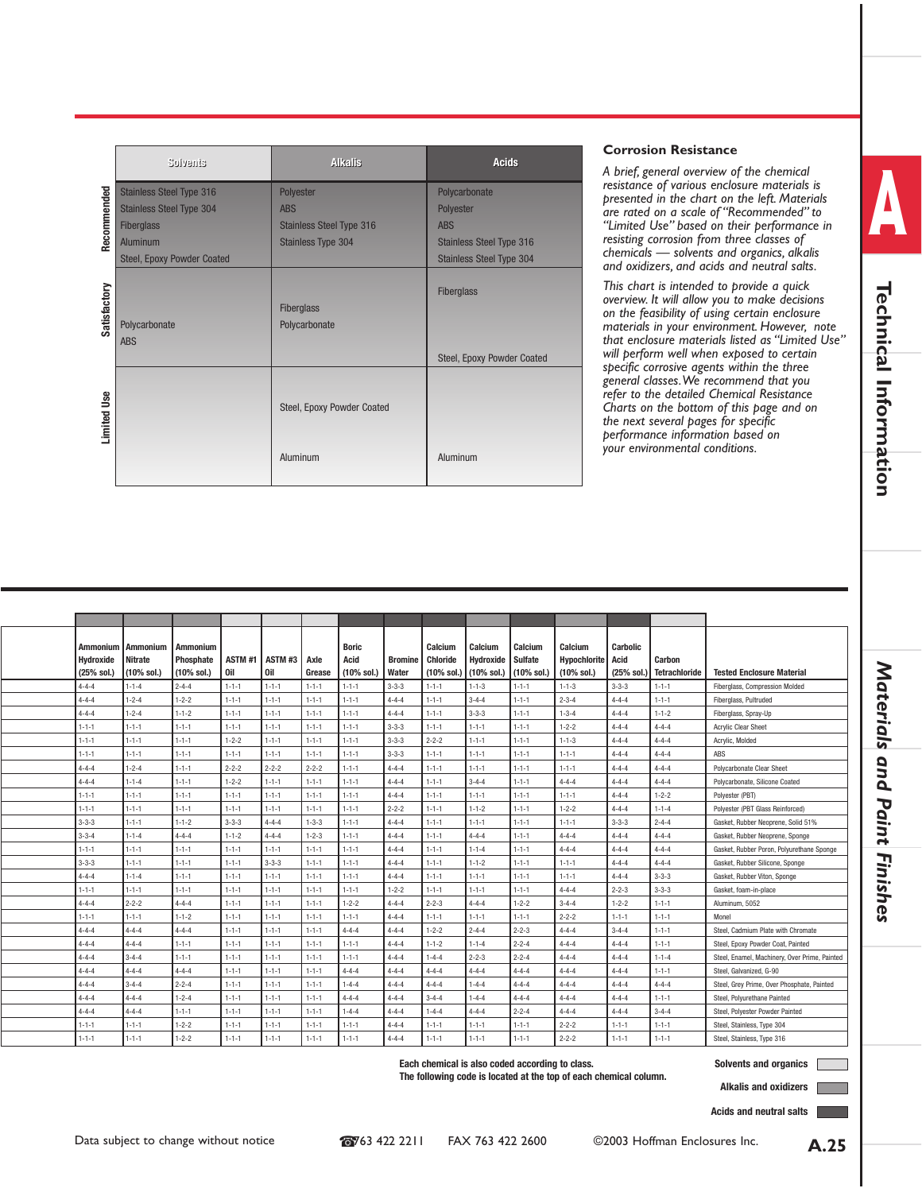|              | Solvenis                          | <b>Alkalis</b>                         | <b>Acids</b>                             |
|--------------|-----------------------------------|----------------------------------------|------------------------------------------|
|              | <b>Stainless Steel Type 316</b>   | Polyester                              | Polycarbonate                            |
| Recommended  | <b>Stainless Steel Type 304</b>   | <b>ABS</b>                             | Polyester                                |
|              | <b>Fiberglass</b>                 | <b>Stainless Steel Type 316</b>        | <b>ABS</b>                               |
|              | Aluminum                          | <b>Stainless Type 304</b>              | <b>Stainless Steel Type 316</b>          |
|              | <b>Steel, Epoxy Powder Coated</b> |                                        | <b>Stainless Steel Type 304</b>          |
| Satisfactory | Polycarbonate<br><b>ABS</b>       | Fiberglass<br>Polycarbonate            | Fiberglass<br>Steel, Epoxy Powder Coated |
| Limited Use  |                                   | Steel, Epoxy Powder Coated<br>Aluminum | Aluminum                                 |

#### **Corrosion Resistance**

*A brief, general overview of the chemical resistance of various enclosure materials is presented in the chart on the left. Materials are rated on a scale of "Recommended" to "Limited Use" based on their performance in resisting corrosion from three classes of chemicals — solvents and organics, alkalis and oxidizers, and acids and neutral salts.*

*This chart is intended to provide a quick overview. It will allow you to make decisions on the feasibility of using certain enclosure materials in your environment. However, note that enclosure materials listed as "Limited Use" will perform well when exposed to certain specific corrosive agents within the three general classes.We recommend that you refer to the detailed Chemical Resistance Charts on the bottom of this page and on the next several pages for specific performance information based on your environmental conditions.*

| Hydroxide<br>(25% sol.) | Ammonium I Ammonium<br>Nitrate<br>(10% sol.) | Ammonium<br>Phosphate<br>(10% sol.) | 0il         | ASTM#1 ASTM#3<br><b>Oil</b> | Axle<br>Grease | <b>Boric</b><br>Acid<br>(10% sol.) | <b>Bromine</b><br>Water | Calcium<br><b>Chloride</b><br>(10% sol.) | Calcium<br>Hydroxide<br>(10% sol.) | Calcium<br><b>Sulfate</b><br>(10% sol.) | Calcium<br>Hypochlorite Acid<br>$(10\% \text{ sol.})$ | Carbolic<br>(25% sol. | Carbon<br><b>Tetrachloride</b> | <b>Tested Enclosure Material</b>              |
|-------------------------|----------------------------------------------|-------------------------------------|-------------|-----------------------------|----------------|------------------------------------|-------------------------|------------------------------------------|------------------------------------|-----------------------------------------|-------------------------------------------------------|-----------------------|--------------------------------|-----------------------------------------------|
| $4 - 4 - 4$             | $1 - 1 - 4$                                  | $2 - 4 - 4$                         | $1 - 1 - 1$ | $1 - 1 - 1$                 | $1 - 1 - 1$    | $1 - 1 - 1$                        | $3 - 3 - 3$             | $1 - 1 - 1$                              | $1 - 1 - 3$                        | $1 - 1 - 1$                             | $1 - 1 - 3$                                           | $3 - 3 - 3$           | $1 - 1 - 1$                    | Fiberglass, Compression Molded                |
| $4 - 4 - 4$             | $1 - 2 - 4$                                  | $1 - 2 - 2$                         | $1 - 1 - 1$ | $1 - 1 - 1$                 | $1 - 1 - 1$    | $1 - 1 - 1$                        | $4 - 4 - 4$             | $1 - 1 - 1$                              | $3 - 4 - 4$                        | $1 - 1 - 1$                             | $2 - 3 - 4$                                           | $4 - 4 - 4$           | $1 - 1 - 1$                    | Fiberglass, Pultruded                         |
| $4 - 4 - 4$             | $1 - 2 - 4$                                  | $1 - 1 - 2$                         | $1 - 1 - 1$ | $1 - 1 - 1$                 | $1 - 1 - 1$    | $1 - 1 - 1$                        | $4 - 4 - 4$             | $1 - 1 - 1$                              | $3 - 3 - 3$                        | $1 - 1 - 1$                             | $1 - 3 - 4$                                           | $4 - 4 - 4$           | $1 - 1 - 2$                    | Fiberglass, Spray-Up                          |
| $1 - 1 - 1$             | $1 - 1 - 1$                                  | $1 - 1 - 1$                         | $1 - 1 - 1$ | $1 - 1 - 1$                 | $1 - 1 - 1$    | $1 - 1 - 1$                        | $3 - 3 - 3$             | $1 - 1 - 1$                              | $1 - 1 - 1$                        | $1 - 1 - 1$                             | $1 - 2 - 2$                                           | $4 - 4 - 4$           | $4 - 4 - 4$                    | <b>Acrylic Clear Sheet</b>                    |
| $1 - 1 - 1$             | $1 - 1 - 1$                                  | $1 - 1 - 1$                         | $1 - 2 - 2$ | $1 - 1 - 1$                 | $1 - 1 - 1$    | $1 - 1 - 1$                        | $3 - 3 - 3$             | $2 - 2 - 2$                              | $1 - 1 - 1$                        | $1 - 1 - 1$                             | $1 - 1 - 3$                                           | $4 - 4 - 4$           | $4 - 4 - 4$                    | Acrylic, Molded                               |
| $1 - 1 - 1$             | $1 - 1 - 1$                                  | $1 - 1 - 1$                         | $1 - 1 - 1$ | $1 - 1 - 1$                 | $1 - 1 - 1$    | $1 - 1 - 1$                        | $3 - 3 - 3$             | $1 - 1 - 1$                              | $1 - 1 - 1$                        | $1 - 1 - 1$                             | $1 - 1 - 1$                                           | $4 - 4 - 4$           | $4 - 4 - 4$                    | ABS                                           |
| $4 - 4 - 4$             | $1 - 2 - 4$                                  | $1 - 1 - 1$                         | $2 - 2 - 2$ | $2 - 2 - 2$                 | $2 - 2 - 2$    | $1 - 1 - 1$                        | $4 - 4 - 4$             | $1 - 1 - 1$                              | $1 - 1 - 1$                        | $1 - 1 - 1$                             | $1 - 1 - 1$                                           | $4 - 4 - 4$           | $4 - 4 - 4$                    | Polycarbonate Clear Sheet                     |
| $4 - 4 - 4$             | $1 - 1 - 4$                                  | $1 - 1 - 1$                         | $1 - 2 - 2$ | $1 - 1 - 1$                 | $1 - 1 - 1$    | $1 - 1 - 1$                        | $4 - 4 - 4$             | $1 - 1 - 1$                              | $3 - 4 - 4$                        | $1 - 1 - 1$                             | $4 - 4 - 4$                                           | $4 - 4 - 4$           | $4 - 4 - 4$                    | Polycarbonate, Silicone Coated                |
| $1 - 1 - 1$             | $1 - 1 - 1$                                  | $1 - 1 - 1$                         | $1 - 1 - 1$ | $1 - 1 - 1$                 | $1 - 1 - 1$    | $1 - 1 - 1$                        | $4 - 4 - 4$             | $1 - 1 - 1$                              | $1 - 1 - 1$                        | $1 - 1 - 1$                             | $1 - 1 - 1$                                           | $4 - 4 - 4$           | $1 - 2 - 2$                    | Polyester (PBT)                               |
| $1 - 1 - 1$             | $1 - 1 - 1$                                  | $1 - 1 - 1$                         | $1 - 1 - 1$ | $1 - 1 - 1$                 | $1 - 1 - 1$    | $1 - 1 - 1$                        | $2 - 2 - 2$             | $1 - 1 - 1$                              | $1 - 1 - 2$                        | $1 - 1 - 1$                             | $1 - 2 - 2$                                           | $4 - 4 - 4$           | $1 - 1 - 4$                    | Polyester (PBT Glass Reinforced)              |
| $3 - 3 - 3$             | $1 - 1 - 1$                                  | $1 - 1 - 2$                         | $3 - 3 - 3$ | $4 - 4 - 4$                 | $1 - 3 - 3$    | $1 - 1 - 1$                        | $4 - 4 - 4$             | $1 - 1 - 1$                              | $1 - 1 - 1$                        | $1 - 1 - 1$                             | $1 - 1 - 1$                                           | $3 - 3 - 3$           | $2 - 4 - 4$                    | Gasket, Rubber Neoprene, Solid 51%            |
| $3 - 3 - 4$             | $1 - 1 - 4$                                  | $4 - 4 - 4$                         | $1 - 1 - 2$ | $4 - 4 - 4$                 | $1 - 2 - 3$    | $1 - 1 - 1$                        | $4 - 4 - 4$             | $1 - 1 - 1$                              | $4 - 4 - 4$                        | $1 - 1 - 1$                             | $4 - 4 - 4$                                           | $4 - 4 - 4$           | $4 - 4 - 4$                    | Gasket, Rubber Neoprene, Sponge               |
| $1 - 1 - 1$             | $1 - 1 - 1$                                  | $1 - 1 - 1$                         | $1 - 1 - 1$ | $1 - 1 - 1$                 | $1 - 1 - 1$    | $1 - 1 - 1$                        | $4 - 4 - 4$             | $1 - 1 - 1$                              | $1 - 1 - 4$                        | $1 - 1 - 1$                             | $4 - 4 - 4$                                           | $4 - 4 - 4$           | $4 - 4 - 4$                    | Gasket, Rubber Poron, Polyurethane Sponge     |
| $3 - 3 - 3$             | $1 - 1 - 1$                                  | $1 - 1 - 1$                         | $1 - 1 - 1$ | $3 - 3 - 3$                 | $1 - 1 - 1$    | $1 - 1 - 1$                        | $4 - 4 - 4$             | $1 - 1 - 1$                              | $1 - 1 - 2$                        | $1 - 1 - 1$                             | $1 - 1 - 1$                                           | $4 - 4 - 4$           | $4 - 4 - 4$                    | Gasket, Rubber Silicone, Sponge               |
| $4 - 4 - 4$             | $1 - 1 - 4$                                  | $1 - 1 - 1$                         | $1 - 1 - 1$ | $1 - 1 - 1$                 | $1 - 1 - 1$    | $1 - 1 - 1$                        | $4 - 4 - 4$             | $1 - 1 - 1$                              | $1 - 1 - 1$                        | $1 - 1 - 1$                             | $1 - 1 - 1$                                           | $4 - 4 - 4$           | $3 - 3 - 3$                    | Gasket, Rubber Viton, Sponge                  |
| $1 - 1 - 1$             | $1 - 1 - 1$                                  | $1 - 1 - 1$                         | $1 - 1 - 1$ | $1 - 1 - 1$                 | $1 - 1 - 1$    | $1 - 1 - 1$                        | $1 - 2 - 2$             | $1 - 1 - 1$                              | $1 - 1 - 1$                        | $1 - 1 - 1$                             | $4 - 4 - 4$                                           | $2 - 2 - 3$           | $3 - 3 - 3$                    | Gasket, foam-in-place                         |
| $4 - 4 - 4$             | $2 - 2 - 2$                                  | $4 - 4 - 4$                         | $1 - 1 - 1$ | $1 - 1 - 1$                 | $1 - 1 - 1$    | $1 - 2 - 2$                        | $4 - 4 - 4$             | $2 - 2 - 3$                              | $4 - 4 - 4$                        | $1 - 2 - 2$                             | $3 - 4 - 4$                                           | $1 - 2 - 2$           | $1 - 1 - 1$                    | Aluminum, 5052                                |
| $1 - 1 - 1$             | $1 - 1 - 1$                                  | $1 - 1 - 2$                         | $1 - 1 - 1$ | $1 - 1 - 1$                 | $1 - 1 - 1$    | $1 - 1 - 1$                        | $4 - 4 - 4$             | $1 - 1 - 1$                              | $1 - 1 - 1$                        | $1 - 1 - 1$                             | $2 - 2 - 2$                                           | $1 - 1 - 1$           | $1 - 1 - 1$                    | Monel                                         |
| $4 - 4 - 4$             | $4 - 4 - 4$                                  | $4 - 4 - 4$                         | $1 - 1 - 1$ | $1 - 1 - 1$                 | $1 - 1 - 1$    | $4 - 4 - 4$                        | $4 - 4 - 4$             | $1 - 2 - 2$                              | $2 - 4 - 4$                        | $2 - 2 - 3$                             | $4 - 4 - 4$                                           | $3 - 4 - 4$           | $1 - 1 - 1$                    | Steel, Cadmium Plate with Chromate            |
| $4 - 4 - 4$             | $4 - 4 - 4$                                  | $1 - 1 - 1$                         | $1 - 1 - 1$ | $1 - 1 - 1$                 | $1 - 1 - 1$    | $1 - 1 - 1$                        | $4 - 4 - 4$             | $1 - 1 - 2$                              | $1 - 1 - 4$                        | $2 - 2 - 4$                             | $4 - 4 - 4$                                           | $4 - 4 - 4$           | $1 - 1 - 1$                    | Steel, Epoxy Powder Coat, Painted             |
| $4 - 4 - 4$             | $3 - 4 - 4$                                  | $1 - 1 - 1$                         | $1 - 1 - 1$ | $1 - 1 - 1$                 | $1 - 1 - 1$    | $1 - 1 - 1$                        | $4 - 4 - 4$             | $1 - 4 - 4$                              | $2 - 2 - 3$                        | $2 - 2 - 4$                             | $4 - 4 - 4$                                           | $4 - 4 - 4$           | $1 - 1 - 4$                    | Steel, Enamel, Machinery, Over Prime, Painted |
| $4 - 4 - 4$             | $4 - 4 - 4$                                  | $4 - 4 - 4$                         | $1 - 1 - 1$ | $1 - 1 - 1$                 | $1 - 1 - 1$    | $4 - 4 - 4$                        | $4 - 4 - 4$             | $4 - 4 - 4$                              | $4 - 4 - 4$                        | $4 - 4 - 4$                             | $4 - 4 - 4$                                           | $4 - 4 - 4$           | $1 - 1 - 1$                    | Steel, Galvanized, G-90                       |
| $4 - 4 - 4$             | $3 - 4 - 4$                                  | $2 - 2 - 4$                         | $1 - 1 - 1$ | $1 - 1 - 1$                 | $1 - 1 - 1$    | $1 - 4 - 4$                        | $4 - 4 - 4$             | $4 - 4 - 4$                              | $1 - 4 - 4$                        | $4 - 4 - 4$                             | $4 - 4 - 4$                                           | $4 - 4 - 4$           | $4 - 4 - 4$                    | Steel, Grey Prime, Over Phosphate, Painted    |
| $4 - 4 - 4$             | $4 - 4 - 4$                                  | $1 - 2 - 4$                         | $1 - 1 - 1$ | $1 - 1 - 1$                 | $1 - 1 - 1$    | $4 - 4 - 4$                        | $4 - 4 - 4$             | $3 - 4 - 4$                              | $1 - 4 - 4$                        | $4 - 4 - 4$                             | $4 - 4 - 4$                                           | $4 - 4 - 4$           | $1 - 1 - 1$                    | Steel, Polyurethane Painted                   |
| $4 - 4 - 4$             | $4 - 4 - 4$                                  | $1 - 1 - 1$                         | $1 - 1 - 1$ | $1 - 1 - 1$                 | $1 - 1 - 1$    | $1 - 4 - 4$                        | $4 - 4 - 4$             | $1 - 4 - 4$                              | $4 - 4 - 4$                        | $2 - 2 - 4$                             | $4 - 4 - 4$                                           | $4 - 4 - 4$           | $3 - 4 - 4$                    | Steel, Polyester Powder Painted               |
| $1 - 1 - 1$             | $1 - 1 - 1$                                  | $1 - 2 - 2$                         | $1 - 1 - 1$ | $1 - 1 - 1$                 | $1 - 1 - 1$    | $1 - 1 - 1$                        | $4 - 4 - 4$             | $1 - 1 - 1$                              | $1 - 1 - 1$                        | $1 - 1 - 1$                             | $2 - 2 - 2$                                           | $1 - 1 - 1$           | $1 - 1 - 1$                    | Steel, Stainless, Type 304                    |
| $1 - 1 - 1$             | $1 - 1 - 1$                                  | $1 - 2 - 2$                         | $1 - 1 - 1$ | $1 - 1 - 1$                 | $1 - 1 - 1$    | $1 - 1 - 1$                        | $4 - 4 - 4$             | $1 - 1 - 1$                              | $1 - 1 - 1$                        | $1 - 1 - 1$                             | $2 - 2 - 2$                                           | $1 - 1 - 1$           | $1 - 1 - 1$                    | Steel, Stainless, Type 316                    |

**The following code is located at the top of each chemical column.**

**Alkalis and oxidizers**

**Acids and neutral salts**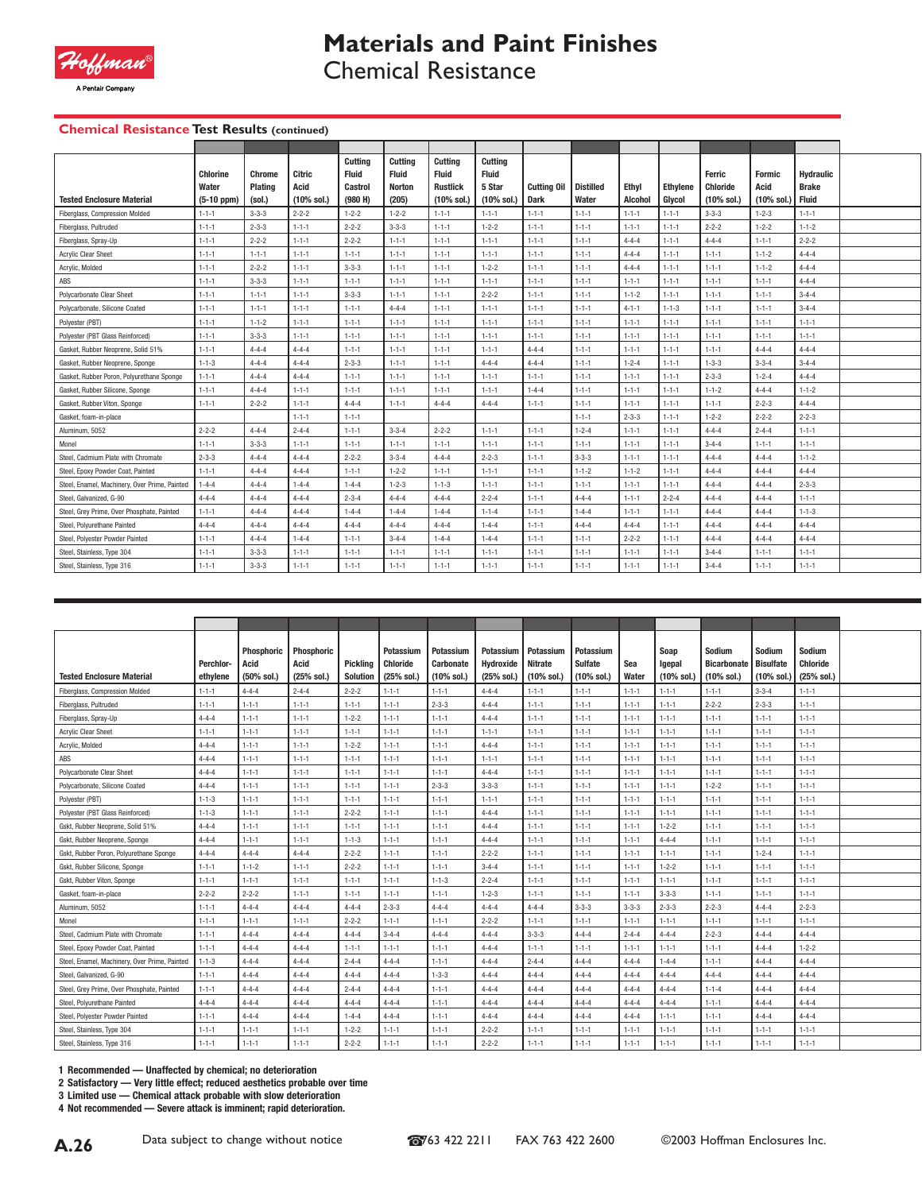

# **Materials and Paint Finishes**

Chemical Resistance

### **Chemical Resistance Test Results (continued)**

| <b>Tested Enclosure Material</b>              | <b>Chlorine</b><br>Water<br>$(5-10 ppm)$ | Chrome<br>Plating<br>(sol.) | Citric<br>Acid<br>$(10\%$ sol.) | Cuttina<br><b>Fluid</b><br><b>Castrol</b><br>(980 H) | Cuttina<br><b>Fluid</b><br><b>Norton</b><br>(205) | Cuttina<br><b>Fluid</b><br><b>Rustlick</b><br>$(10\% \text{ sol.})$ | Cuttina<br><b>Fluid</b><br>5 Star<br>$(10\% \text{ sol.})$ | Cutting Oil<br><b>Dark</b> | <b>Distilled</b><br>Water | Ethyl<br><b>Alcohol</b> | <b>Ethvlene</b><br>Glycol | Ferric<br><b>Chloride</b><br>$(10\% \text{ sol.})$ | <b>Formic</b><br>Acid<br>(10% sol.) | <b>Hydraulic</b><br><b>Brake</b><br>Fluid |  |
|-----------------------------------------------|------------------------------------------|-----------------------------|---------------------------------|------------------------------------------------------|---------------------------------------------------|---------------------------------------------------------------------|------------------------------------------------------------|----------------------------|---------------------------|-------------------------|---------------------------|----------------------------------------------------|-------------------------------------|-------------------------------------------|--|
| <b>Fiberalass, Compression Molded</b>         | $1 - 1 - 1$                              | $3 - 3 - 3$                 | $2 - 2 - 2$                     | $1 - 2 - 2$                                          | $1 - 2 - 2$                                       | $1 - 1 - 1$                                                         | $1 - 1 - 1$                                                | $1 - 1 - 1$                | $1 - 1 - 1$               | $1 - 1 - 1$             | $1 - 1 - 1$               | $3 - 3 - 3$                                        | $1 - 2 - 3$                         | $1 - 1 - 1$                               |  |
| Fiberglass, Pultruded                         | $1 - 1 - 1$                              | $2 - 3 - 3$                 | $1 - 1 - 1$                     | $2 - 2 - 2$                                          | $3 - 3 - 3$                                       | $1 - 1 - 1$                                                         | $1 - 2 - 2$                                                | $1 - 1 - 1$                | $1 - 1 - 1$               | $1 - 1 - 1$             | $1 - 1 - 1$               | $2 - 2 - 2$                                        | $1 - 2 - 2$                         | $1 - 1 - 2$                               |  |
| Fiberglass, Spray-Up                          | $1 - 1 - 1$                              | $2 - 2 - 2$                 | $1 - 1 - 1$                     | $2 - 2 - 2$                                          | $1 - 1 - 1$                                       | $1 - 1 - 1$                                                         | $1 - 1 - 1$                                                | $1 - 1 - 1$                | $1 - 1 - 1$               | $4 - 4 - 4$             | $1 - 1 - 1$               | $4 - 4 - 4$                                        | $1 - 1 - 1$                         | $2 - 2 - 2$                               |  |
| <b>Acrylic Clear Sheet</b>                    | $1 - 1 - 1$                              | $1 - 1 - 1$                 | $1 - 1 - 1$                     | $1 - 1 - 1$                                          | $1 - 1 - 1$                                       | $1 - 1 - 1$                                                         | $1 - 1 - 1$                                                | $1 - 1 - 1$                | $1 - 1 - 1$               | $4 - 4 - 4$             | $1 - 1 - 1$               | $1 - 1 - 1$                                        | $1 - 1 - 2$                         | $4 - 4 - 4$                               |  |
| Acrylic, Molded                               | $1 - 1 - 1$                              | $2 - 2 - 2$                 | $1 - 1 - 1$                     | $3 - 3 - 3$                                          | $1 - 1 - 1$                                       | $1 - 1 - 1$                                                         | $1 - 2 - 2$                                                | $1 - 1 - 1$                | $1 - 1 - 1$               | $4 - 4 - 4$             | $1 - 1 - 1$               | $1 - 1 - 1$                                        | $1 - 1 - 2$                         | $4 - 4 - 4$                               |  |
| ABS                                           | $1 - 1 - 1$                              | $3 - 3 - 3$                 | $1 - 1 - 1$                     | $1 - 1 - 1$                                          | $1 - 1 - 1$                                       | $1 - 1 - 1$                                                         | $1 - 1 - 1$                                                | $1 - 1 - 1$                | $1 - 1 - 1$               | $1 - 1 - 1$             | $1 - 1 - 1$               | $1 - 1 - 1$                                        | $1 - 1 - 1$                         | $4 - 4 - 4$                               |  |
| Polycarbonate Clear Sheet                     | $1 - 1 - 1$                              | $1 - 1 - 1$                 | $1 - 1 - 1$                     | $3 - 3 - 3$                                          | $1 - 1 - 1$                                       | $1 - 1 - 1$                                                         | $2 - 2 - 2$                                                | $1 - 1 - 1$                | $1 - 1 - 1$               | $1 - 1 - 2$             | $1 - 1 - 1$               | $1 - 1 - 1$                                        | $1 - 1 - 1$                         | $3 - 4 - 4$                               |  |
| Polycarbonate, Silicone Coated                | $1 - 1 - 1$                              | $1 - 1 - 1$                 | $1 - 1 - 1$                     | $1 - 1 - 1$                                          | $4 - 4 - 4$                                       | $1 - 1 - 1$                                                         | $1 - 1 - 1$                                                | $1 - 1 - 1$                | $1 - 1 - 1$               | $4 - 1 - 1$             | $1 - 1 - 3$               | $1 - 1 - 1$                                        | $1 - 1 - 1$                         | $3 - 4 - 4$                               |  |
| Polyester (PBT)                               | $1 - 1 - 1$                              | $1 - 1 - 2$                 | $1 - 1 - 1$                     | $1 - 1 - 1$                                          | $1 - 1 - 1$                                       | $1 - 1 - 1$                                                         | $1 - 1 - 1$                                                | $1 - 1 - 1$                | $1 - 1 - 1$               | $1 - 1 - 1$             | $1 - 1 - 1$               | $1 - 1 - 1$                                        | $1 - 1 - 1$                         | $1 - 1 - 1$                               |  |
| Polvester (PBT Glass Reinforced)              | $1 - 1 - 1$                              | $3 - 3 - 3$                 | $1 - 1 - 1$                     | $1 - 1 - 1$                                          | $1 - 1 - 1$                                       | $1 - 1 - 1$                                                         | $1 - 1 - 1$                                                | $1 - 1 - 1$                | $1 - 1 - 1$               | $1 - 1 - 1$             | $1 - 1 - 1$               | $1 - 1 - 1$                                        | $1 - 1 - 1$                         | $1 - 1 - 1$                               |  |
| Gasket, Rubber Neoprene, Solid 51%            | $1 - 1 - 1$                              | $4 - 4 - 4$                 | $4 - 4 - 4$                     | $1 - 1 - 1$                                          | $1 - 1 - 1$                                       | $1 - 1 - 1$                                                         | $1 - 1 - 1$                                                | $4 - 4 - 4$                | $1 - 1 - 1$               | $1 - 1 - 1$             | $1 - 1 - 1$               | $1 - 1 - 1$                                        | $4 - 4 - 4$                         | $4 - 4 - 4$                               |  |
| Gasket, Rubber Neoprene, Sponge               | $1 - 1 - 3$                              | $4 - 4 - 4$                 | $4 - 4 - 4$                     | $2 - 3 - 3$                                          | $1 - 1 - 1$                                       | $1 - 1 - 1$                                                         | $4 - 4 - 4$                                                | $4 - 4 - 4$                | $1 - 1 - 1$               | $1 - 2 - 4$             | $1 - 1 - 1$               | $1 - 3 - 3$                                        | $3 - 3 - 4$                         | $3 - 4 - 4$                               |  |
| Gasket, Rubber Poron, Polvurethane Sponge     | $1 - 1 - 1$                              | $4 - 4 - 4$                 | $4 - 4 - 4$                     | $1 - 1 - 1$                                          | $1 - 1 - 1$                                       | $1 - 1 - 1$                                                         | $1 - 1 - 1$                                                | $1 - 1 - 1$                | $1 - 1 - 1$               | $1 - 1 - 1$             | $1 - 1 - 1$               | $2 - 3 - 3$                                        | $1 - 2 - 4$                         | $4 - 4 - 4$                               |  |
| Gasket, Rubber Silicone, Sponge               | $1 - 1 - 1$                              | $4 - 4 - 4$                 | $1 - 1 - 1$                     | $1 - 1 - 1$                                          | $1 - 1 - 1$                                       | $1 - 1 - 1$                                                         | $1 - 1 - 1$                                                | $1 - 4 - 4$                | $1 - 1 - 1$               | $1 - 1 - 1$             | $1 - 1 - 1$               | $1 - 1 - 2$                                        | $4 - 4 - 4$                         | $1 - 1 - 2$                               |  |
| Gasket, Rubber Viton, Sponge                  | $1 - 1 - 1$                              | $2 - 2 - 2$                 | $1 - 1 - 1$                     | $4 - 4 - 4$                                          | $1 - 1 - 1$                                       | $4 - 4 - 4$                                                         | $4 - 4 - 4$                                                | $1 - 1 - 1$                | $1 - 1 - 1$               | $1 - 1 - 1$             | $1 - 1 - 1$               | $1 - 1 - 1$                                        | $2 - 2 - 3$                         | $4 - 4 - 4$                               |  |
| Gasket, foam-in-place                         |                                          |                             | $1 - 1 - 1$                     | $1 - 1 - 1$                                          |                                                   |                                                                     |                                                            |                            | $1 - 1 - 1$               | $2 - 3 - 3$             | $1 - 1 - 1$               | $1 - 2 - 2$                                        | $2 - 2 - 2$                         | $2 - 2 - 3$                               |  |
| Aluminum, 5052                                | $2 - 2 - 2$                              | $4 - 4 - 4$                 | $2 - 4 - 4$                     | $1 - 1 - 1$                                          | $3 - 3 - 4$                                       | $2 - 2 - 2$                                                         | $1 - 1 - 1$                                                | $1 - 1 - 1$                | $1 - 2 - 4$               | $1 - 1 - 1$             | $1 - 1 - 1$               | $4 - 4 - 4$                                        | $2 - 4 - 4$                         | $1 - 1 - 1$                               |  |
| Monel                                         | $1 - 1 - 1$                              | $3 - 3 - 3$                 | $1 - 1 - 1$                     | $1 - 1 - 1$                                          | $1 - 1 - 1$                                       | $1 - 1 - 1$                                                         | $1 - 1 - 1$                                                | $1 - 1 - 1$                | $1 - 1 - 1$               | $1 - 1 - 1$             | $1 - 1 - 1$               | $3 - 4 - 4$                                        | $1 - 1 - 1$                         | $1 - 1 - 1$                               |  |
| Steel, Cadmium Plate with Chromate            | $2 - 3 - 3$                              | $4 - 4 - 4$                 | $4 - 4 - 4$                     | $2 - 2 - 2$                                          | $3 - 3 - 4$                                       | $4 - 4 - 4$                                                         | $2 - 2 - 3$                                                | $1 - 1 - 1$                | $3 - 3 - 3$               | $1 - 1 - 1$             | $1 - 1 - 1$               | $4 - 4 - 4$                                        | $4 - 4 - 4$                         | $1 - 1 - 2$                               |  |
| Steel, Epoxy Powder Coat, Painted             | $1 - 1 - 1$                              | $4 - 4 - 4$                 | $4 - 4 - 4$                     | $1 - 1 - 1$                                          | $1 - 2 - 2$                                       | $1 - 1 - 1$                                                         | $1 - 1 - 1$                                                | $1 - 1 - 1$                | $1 - 1 - 2$               | $1 - 1 - 2$             | $1 - 1 - 1$               | $4 - 4 - 4$                                        | $4 - 4 - 4$                         | $4 - 4 - 4$                               |  |
| Steel, Enamel, Machinery, Over Prime, Painted | $1 - 4 - 4$                              | $4 - 4 - 4$                 | $1 - 4 - 4$                     | $1 - 4 - 4$                                          | $1 - 2 - 3$                                       | $1 - 1 - 3$                                                         | $1 - 1 - 1$                                                | $1 - 1 - 1$                | $1 - 1 - 1$               | $1 - 1 - 1$             | $1 - 1 - 1$               | $4 - 4 - 4$                                        | $4 - 4 - 4$                         | $2 - 3 - 3$                               |  |
| Steel, Galvanized, G-90                       | $4 - 4 - 4$                              | $4 - 4 - 4$                 | $4 - 4 - 4$                     | $2 - 3 - 4$                                          | $4 - 4 - 4$                                       | $4 - 4 - 4$                                                         | $2 - 2 - 4$                                                | $1 - 1 - 1$                | $4 - 4 - 4$               | $1 - 1 - 1$             | $2 - 2 - 4$               | $4 - 4 - 4$                                        | $4 - 4 - 4$                         | $1 - 1 - 1$                               |  |
| Steel, Grey Prime, Over Phosphate, Painted    | $1 - 1 - 1$                              | $4 - 4 - 4$                 | $4 - 4 - 4$                     | $1 - 4 - 4$                                          | $1 - 4 - 4$                                       | $1 - 4 - 4$                                                         | $1 - 1 - 4$                                                | $1 - 1 - 1$                | $1 - 4 - 4$               | $1 - 1 - 1$             | $1 - 1 - 1$               | $4 - 4 - 4$                                        | $4 - 4 - 4$                         | $1 - 1 - 3$                               |  |
| Steel, Polvurethane Painted                   | $4 - 4 - 4$                              | $4 - 4 - 4$                 | $4 - 4 - 4$                     | $4 - 4 - 4$                                          | $4 - 4 - 4$                                       | $4 - 4 - 4$                                                         | $1 - 4 - 4$                                                | $1 - 1 - 1$                | $4 - 4 - 4$               | $4 - 4 - 4$             | $1 - 1 - 1$               | $4 - 4 - 4$                                        | $4 - 4 - 4$                         | $4 - 4 - 4$                               |  |
| Steel, Polyester Powder Painted               | $1 - 1 - 1$                              | $4 - 4 - 4$                 | $1 - 4 - 4$                     | $1 - 1 - 1$                                          | $3 - 4 - 4$                                       | $1 - 4 - 4$                                                         | $1 - 4 - 4$                                                | $1 - 1 - 1$                | $1 - 1 - 1$               | $2 - 2 - 2$             | $1 - 1 - 1$               | $4 - 4 - 4$                                        | $4 - 4 - 4$                         | $4 - 4 - 4$                               |  |
| Steel, Stainless, Type 304                    | $1 - 1 - 1$                              | $3 - 3 - 3$                 | $1 - 1 - 1$                     | $1 - 1 - 1$                                          | $1 - 1 - 1$                                       | $1 - 1 - 1$                                                         | $1 - 1 - 1$                                                | $1 - 1 - 1$                | $1 - 1 - 1$               | $1 - 1 - 1$             | $1 - 1 - 1$               | $3 - 4 - 4$                                        | $1 - 1 - 1$                         | $1 - 1 - 1$                               |  |
| Steel, Stainless, Type 316                    | $1 - 1 - 1$                              | $3 - 3 - 3$                 | $1 - 1 - 1$                     | $1 - 1 - 1$                                          | $1 - 1 - 1$                                       | $1 - 1 - 1$                                                         | $1 - 1 - 1$                                                | $1 - 1 - 1$                | $1 - 1 - 1$               | $1 - 1 - 1$             | $1 - 1 - 1$               | $3 - 4 - 4$                                        | $1 - 1 - 1$                         | $1 - 1 - 1$                               |  |

|                                               |             | <b>Phosphoric</b> | <b>Phosphoric</b> |                 | Potassium       | Potassium        | Potassium        | Potassium             | Potassium      |             | Soap        | Sodium                | Sodium           | Sodium          |
|-----------------------------------------------|-------------|-------------------|-------------------|-----------------|-----------------|------------------|------------------|-----------------------|----------------|-------------|-------------|-----------------------|------------------|-----------------|
|                                               | Perchlor-   | Acid              | Acid              | Pickling        | <b>Chloride</b> | <b>Carbonate</b> | <b>Hydroxide</b> | <b>Nitrate</b>        | <b>Sulfate</b> | Sea         | Igepal      | <b>Bicarbonate</b>    | <b>Bisulfate</b> | <b>Chloride</b> |
| <b>Tested Enclosure Material</b>              | ethylene    | (50% sol.)        | (25% sol.)        | <b>Solution</b> | (25% sol.)      | (10% sol.)       | (25% sol.)       | $(10\% \text{ sol.})$ | (10% sol.)     | Water       | (10% sol.   | $(10\% \text{ sol.})$ | (10% sol.)       | (25% sol.)      |
| Fiberglass, Compression Molded                | $1 - 1 - 1$ | $4 - 4 - 4$       | $2 - 4 - 4$       | $2 - 2 - 2$     | $1 - 1 - 1$     | $1 - 1 - 1$      | $4 - 4 - 4$      | $1 - 1 - 1$           | $1 - 1 - 1$    | $1 - 1 - 1$ | $1 - 1 - 1$ | $1 - 1 - 1$           | $3 - 3 - 4$      | $1 - 1 - 1$     |
| Fiberglass, Pultruded                         | $1 - 1 - 1$ | $1 - 1 - 1$       | $1 - 1 - 1$       | $1 - 1 - 1$     | $1 - 1 - 1$     | $2 - 3 - 3$      | $4 - 4 - 4$      | $1 - 1 - 1$           | $1 - 1 - 1$    | $1 - 1 - 1$ | $1 - 1 - 1$ | $2 - 2 - 2$           | $2 - 3 - 3$      | $1 - 1 - 1$     |
| Fiberglass, Spray-Up                          | $4 - 4 - 4$ | $1 - 1 - 1$       | $1 - 1 - 1$       | $1 - 2 - 2$     | $1 - 1 - 1$     | $1 - 1 - 1$      | $4 - 4 - 4$      | $1 - 1 - 1$           | $1 - 1 - 1$    | $1 - 1 - 1$ | $1 - 1 - 1$ | $1 - 1 - 1$           | $1 - 1 - 1$      | $1 - 1 - 1$     |
| <b>Acrylic Clear Sheet</b>                    | $1 - 1 - 1$ | $1 - 1 - 1$       | $1 - 1 - 1$       | $1 - 1 - 1$     | $1 - 1 - 1$     | $1 - 1 - 1$      | $1 - 1 - 1$      | $1 - 1 - 1$           | $1 - 1 - 1$    | $1 - 1 - 1$ | $1 - 1 - 1$ | $1 - 1 - 1$           | $1 - 1 - 1$      | $1 - 1 - 1$     |
| Acrylic, Molded                               | $4 - 4 - 4$ | $1 - 1 - 1$       | $1 - 1 - 1$       | $1 - 2 - 2$     | $1 - 1 - 1$     | $1 - 1 - 1$      | $4 - 4 - 4$      | $1 - 1 - 1$           | $1 - 1 - 1$    | $1 - 1 - 1$ | $1 - 1 - 1$ | $1 - 1 - 1$           | $1 - 1 - 1$      | $1 - 1 - 1$     |
| ABS                                           | $4 - 4 - 4$ | $1 - 1 - 1$       | $1 - 1 - 1$       | $1 - 1 - 1$     | $1 - 1 - 1$     | $1 - 1 - 1$      | $1 - 1 - 1$      | $1 - 1 - 1$           | $1 - 1 - 1$    | $1 - 1 - 1$ | $1 - 1 - 1$ | $1 - 1 - 1$           | $1 - 1 - 1$      | $1 - 1 - 1$     |
| <b>Polycarbonate Clear Sheet</b>              | $4 - 4 - 4$ | $1 - 1 - 1$       | $1 - 1 - 1$       | $1 - 1 - 1$     | $1 - 1 - 1$     | $1 - 1 - 1$      | $4 - 4 - 4$      | $1 - 1 - 1$           | $1 - 1 - 1$    | $1 - 1 - 1$ | $1 - 1 - 1$ | $1 - 1 - 1$           | $1 - 1 - 1$      | $1 - 1 - 1$     |
| Polycarbonate, Silicone Coated                | $4 - 4 - 4$ | $1 - 1 - 1$       | $1 - 1 - 1$       | $1 - 1 - 1$     | $1 - 1 - 1$     | $2 - 3 - 3$      | $3 - 3 - 3$      | $1 - 1 - 1$           | $1 - 1 - 1$    | $1 - 1 - 1$ | $1 - 1 - 1$ | $1 - 2 - 2$           | $1 - 1 - 1$      | $1 - 1 - 1$     |
| Polyester (PBT)                               | $1 - 1 - 3$ | $1 - 1 - 1$       | $1 - 1 - 1$       | $1 - 1 - 1$     | $1 - 1 - 1$     | $1 - 1 - 1$      | $1 - 1 - 1$      | $1 - 1 - 1$           | $1 - 1 - 1$    | $1 - 1 - 1$ | $1 - 1 - 1$ | $1 - 1 - 1$           | $1 - 1 - 1$      | $1 - 1 - 1$     |
| Polvester (PBT Glass Reinforced)              | $1 - 1 - 3$ | $1 - 1 - 1$       | $1 - 1 - 1$       | $2 - 2 - 2$     | $1 - 1 - 1$     | $1 - 1 - 1$      | $4 - 4 - 4$      | $1 - 1 - 1$           | $1 - 1 - 1$    | $1 - 1 - 1$ | $1 - 1 - 1$ | $1 - 1 - 1$           | $1 - 1 - 1$      | $1 - 1 - 1$     |
| Gskt. Rubber Neoprene, Solid 51%              | $4 - 4 - 4$ | $1 - 1 - 1$       | $1 - 1 - 1$       | $1 - 1 - 1$     | $1 - 1 - 1$     | $1 - 1 - 1$      | $4 - 4 - 4$      | $1 - 1 - 1$           | $1 - 1 - 1$    | $1 - 1 - 1$ | $1 - 2 - 2$ | $1 - 1 - 1$           | $1 - 1 - 1$      | $1 - 1 - 1$     |
| Gskt, Rubber Neoprene, Sponge                 | $4 - 4 - 4$ | $1 - 1 - 1$       | $1 - 1 - 1$       | $1 - 1 - 3$     | $1 - 1 - 1$     | $1 - 1 - 1$      | $4 - 4 - 4$      | $1 - 1 - 1$           | $1 - 1 - 1$    | $1 - 1 - 1$ | $4 - 4 - 4$ | $1 - 1 - 1$           | $1 - 1 - 1$      | $1 - 1 - 1$     |
| Gskt, Rubber Poron, Polyurethane Sponge       | $4 - 4 - 4$ | $4 - 4 - 4$       | $4 - 4 - 4$       | $2 - 2 - 2$     | $1 - 1 - 1$     | $1 - 1 - 1$      | $2 - 2 - 2$      | $1 - 1 - 1$           | $1 - 1 - 1$    | $1 - 1 - 1$ | $1 - 1 - 1$ | $1 - 1 - 1$           | $1 - 2 - 4$      | $1 - 1 - 1$     |
| Gskt, Rubber Silicone, Sponge                 | $1 - 1 - 1$ | $1 - 1 - 2$       | $1 - 1 - 1$       | $2 - 2 - 2$     | $1 - 1 - 1$     | $1 - 1 - 1$      | $3 - 4 - 4$      | $1 - 1 - 1$           | $1 - 1 - 1$    | $1 - 1 - 1$ | $1 - 2 - 2$ | $1 - 1 - 1$           | $1 - 1 - 1$      | $1 - 1 - 1$     |
| Gskt, Rubber Viton, Sponge                    | $1 - 1 - 1$ | $1 - 1 - 1$       | $1 - 1 - 1$       | $1 - 1 - 1$     | $1 - 1 - 1$     | $1 - 1 - 3$      | $2 - 2 - 4$      | $1 - 1 - 1$           | $1 - 1 - 1$    | $1 - 1 - 1$ | $1 - 1 - 1$ | $1 - 1 - 1$           | $1 - 1 - 1$      | $1 - 1 - 1$     |
| Gasket, foam-in-place                         | $2 - 2 - 2$ | $2 - 2 - 2$       | $1 - 1 - 1$       | $1 - 1 - 1$     | $1 - 1 - 1$     | $1 - 1 - 1$      | $1 - 2 - 3$      | $1 - 1 - 1$           | $1 - 1 - 1$    | $1 - 1 - 1$ | $3 - 3 - 3$ | $1 - 1 - 1$           | $1 - 1 - 1$      | $1 - 1 - 1$     |
| Aluminum, 5052                                | $1 - 1 - 1$ | $4 - 4 - 4$       | $4 - 4 - 4$       | $4 - 4 - 4$     | $2 - 3 - 3$     | $4 - 4 - 4$      | $4 - 4 - 4$      | $4 - 4 - 4$           | $3 - 3 - 3$    | $3 - 3 - 3$ | $2 - 3 - 3$ | $2 - 2 - 3$           | $4 - 4 - 4$      | $2 - 2 - 3$     |
| Monel                                         | $1 - 1 - 1$ | $1 - 1 - 1$       | $1 - 1 - 1$       | $2 - 2 - 2$     | $1 - 1 - 1$     | $1 - 1 - 1$      | $2 - 2 - 2$      | $1 - 1 - 1$           | $1 - 1 - 1$    | $1 - 1 - 1$ | $1 - 1 - 1$ | $1 - 1 - 1$           | $1 - 1 - 1$      | $1 - 1 - 1$     |
| Steel, Cadmium Plate with Chromate            | $1 - 1 - 1$ | $4 - 4 - 4$       | $4 - 4 - 4$       | $4 - 4 - 4$     | $3 - 4 - 4$     | $4 - 4 - 4$      | $4 - 4 - 4$      | $3 - 3 - 3$           | $4 - 4 - 4$    | $2 - 4 - 4$ | $4 - 4 - 4$ | $2 - 2 - 3$           | $4 - 4 - 4$      | $4 - 4 - 4$     |
| Steel, Epoxy Powder Coat, Painted             | $1 - 1 - 1$ | $4 - 4 - 4$       | $4 - 4 - 4$       | $1 - 1 - 1$     | $1 - 1 - 1$     | $1 - 1 - 1$      | $4 - 4 - 4$      | $1 - 1 - 1$           | $1 - 1 - 1$    | $1 - 1 - 1$ | $1 - 1 - 1$ | $1 - 1 - 1$           | $4 - 4 - 4$      | $1 - 2 - 2$     |
| Steel, Enamel, Machinery, Over Prime, Painted | $1 - 1 - 3$ | $4 - 4 - 4$       | $4 - 4 - 4$       | $2 - 4 - 4$     | $4 - 4 - 4$     | $1 - 1 - 1$      | $4 - 4 - 4$      | $2 - 4 - 4$           | $4 - 4 - 4$    | $4 - 4 - 4$ | $1 - 4 - 4$ | $1 - 1 - 1$           | $4 - 4 - 4$      | $4 - 4 - 4$     |
| Steel, Galvanized, G-90                       | $1 - 1 - 1$ | $4 - 4 - 4$       | $4 - 4 - 4$       | $4 - 4 - 4$     | $4 - 4 - 4$     | $1 - 3 - 3$      | $4 - 4 - 4$      | $4 - 4 - 4$           | $4 - 4 - 4$    | $4 - 4 - 4$ | $4 - 4 - 4$ | $4 - 4 - 4$           | $4 - 4 - 4$      | $4 - 4 - 4$     |
| Steel, Grey Prime, Over Phosphate, Painted    | $1 - 1 - 1$ | $4 - 4 - 4$       | $4 - 4 - 4$       | $2 - 4 - 4$     | $4 - 4 - 4$     | $1 - 1 - 1$      | $4 - 4 - 4$      | $4 - 4 - 4$           | $4 - 4 - 4$    | $4 - 4 - 4$ | $4 - 4 - 4$ | $1 - 1 - 4$           | $4 - 4 - 4$      | $4 - 4 - 4$     |
| Steel, Polyurethane Painted                   | $4 - 4 - 4$ | $4 - 4 - 4$       | $4 - 4 - 4$       | $4 - 4 - 4$     | $4 - 4 - 4$     | $1 - 1 - 1$      | $4 - 4 - 4$      | $4 - 4 - 4$           | $4 - 4 - 4$    | $4 - 4 - 4$ | $4 - 4 - 4$ | $1 - 1 - 1$           | $4 - 4 - 4$      | $4 - 4 - 4$     |
| Steel, Polyester Powder Painted               | $1 - 1 - 1$ | $4 - 4 - 4$       | $4 - 4 - 4$       | $1 - 4 - 4$     | $4 - 4 - 4$     | $1 - 1 - 1$      | $4 - 4 - 4$      | $4 - 4 - 4$           | $4 - 4 - 4$    | $4 - 4 - 4$ | $1 - 1 - 1$ | $1 - 1 - 1$           | $4 - 4 - 4$      | $4 - 4 - 4$     |
| Steel, Stainless, Type 304                    | $1 - 1 - 1$ | $1 - 1 - 1$       | $1 - 1 - 1$       | $1 - 2 - 2$     | $1 - 1 - 1$     | $1 - 1 - 1$      | $2 - 2 - 2$      | $1 - 1 - 1$           | $1 - 1 - 1$    | $1 - 1 - 1$ | $1 - 1 - 1$ | $1 - 1 - 1$           | $1 - 1 - 1$      | $1 - 1 - 1$     |
| Steel, Stainless, Type 316                    | $1 - 1 - 1$ | $1 - 1 - 1$       | $1 - 1 - 1$       | $2 - 2 - 2$     | $1 - 1 - 1$     | $1 - 1 - 1$      | $2 - 2 - 2$      | $1 - 1 - 1$           | $1 - 1 - 1$    | $1 - 1 - 1$ | $1 - 1 - 1$ | $1 - 1 - 1$           | $1 - 1 - 1$      | $1 - 1 - 1$     |

**1 Recommended — Unaffected by chemical; no deterioration**

**2 Satisfactory — Very little effect; reduced aesthetics probable over time**

**3 Limited use — Chemical attack probable with slow deterioration**

**4 Not recommended — Severe attack is imminent; rapid deterioration.**